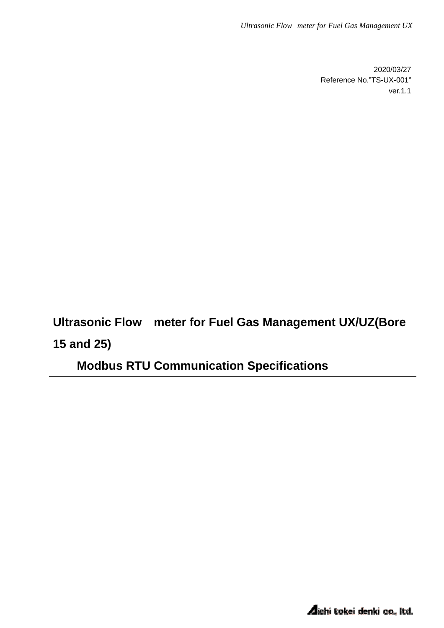2020/03/27 Reference No."TS-UX-001" ver.1.1

**Ultrasonic Flow meter for Fuel Gas Management UX/UZ(Bore 15 and 25)** 

**Modbus RTU Communication Specifications**

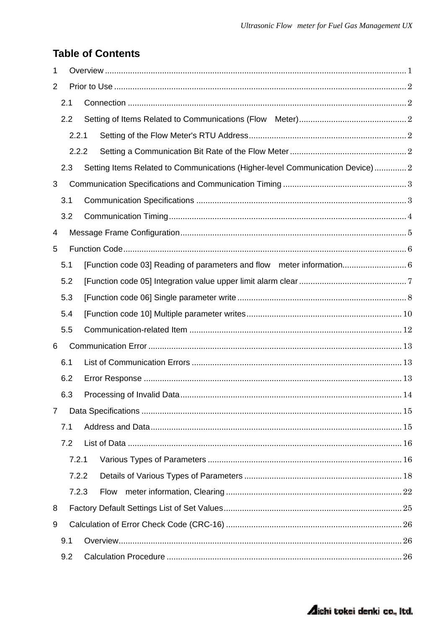## **Table of Contents**

| 1              |     |       |                                                                              |  |  |  |
|----------------|-----|-------|------------------------------------------------------------------------------|--|--|--|
| 2              |     |       |                                                                              |  |  |  |
|                | 2.1 |       |                                                                              |  |  |  |
|                | 2.2 |       |                                                                              |  |  |  |
|                |     | 2.2.1 |                                                                              |  |  |  |
|                |     | 2.2.2 |                                                                              |  |  |  |
|                | 2.3 |       | Setting Items Related to Communications (Higher-level Communication Device)2 |  |  |  |
| 3              |     |       |                                                                              |  |  |  |
|                | 3.1 |       |                                                                              |  |  |  |
|                | 3.2 |       |                                                                              |  |  |  |
| 4              |     |       |                                                                              |  |  |  |
| 5              |     |       |                                                                              |  |  |  |
|                | 5.1 |       |                                                                              |  |  |  |
|                | 5.2 |       |                                                                              |  |  |  |
|                | 5.3 |       |                                                                              |  |  |  |
|                | 5.4 |       |                                                                              |  |  |  |
|                | 5.5 |       |                                                                              |  |  |  |
| 6              |     |       |                                                                              |  |  |  |
|                | 6.1 |       |                                                                              |  |  |  |
|                | 6.2 |       |                                                                              |  |  |  |
|                | 6.3 |       |                                                                              |  |  |  |
| $\overline{7}$ |     |       |                                                                              |  |  |  |
|                | 7.1 |       |                                                                              |  |  |  |
|                | 7.2 |       |                                                                              |  |  |  |
|                |     | 7.2.1 |                                                                              |  |  |  |
|                |     | 7.2.2 |                                                                              |  |  |  |
|                |     | 7.2.3 | <b>Flow</b>                                                                  |  |  |  |
| 8              |     |       |                                                                              |  |  |  |
| 9              |     |       |                                                                              |  |  |  |
|                | 9.1 |       |                                                                              |  |  |  |
|                | 9.2 |       |                                                                              |  |  |  |

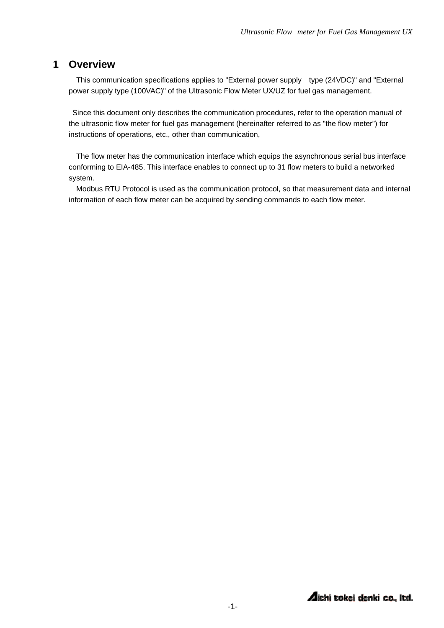### **1 Overview**

This communication specifications applies to "External power supply type (24VDC)" and "External power supply type (100VAC)" of the Ultrasonic Flow Meter UX/UZ for fuel gas management.

 Since this document only describes the communication procedures, refer to the operation manual of the ultrasonic flow meter for fuel gas management (hereinafter referred to as "the flow meter") for instructions of operations, etc., other than communication,

The flow meter has the communication interface which equips the asynchronous serial bus interface conforming to EIA-485. This interface enables to connect up to 31 flow meters to build a networked system.

Modbus RTU Protocol is used as the communication protocol, so that measurement data and internal information of each flow meter can be acquired by sending commands to each flow meter.

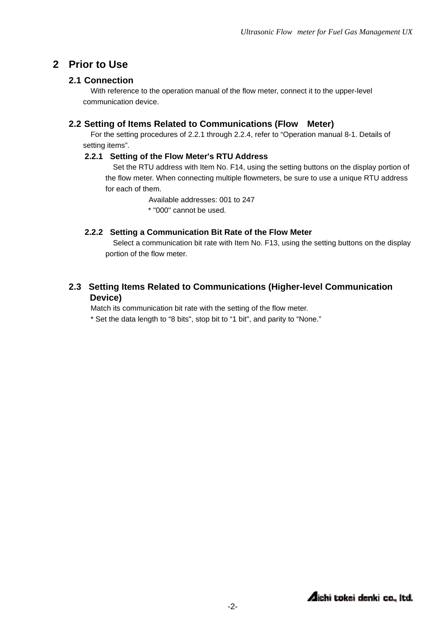### **2 Prior to Use**

### **2.1 Connection**

With reference to the operation manual of the flow meter, connect it to the upper-level communication device.

### **2.2 Setting of Items Related to Communications (Flow Meter)**

For the setting procedures of 2.2.1 through 2.2.4, refer to "Operation manual 8-1. Details of setting items".

### **2.2.1 Setting of the Flow Meter's RTU Address**

Set the RTU address with Item No. F14, using the setting buttons on the display portion of the flow meter. When connecting multiple flowmeters, be sure to use a unique RTU address for each of them.

> Available addresses: 001 to 247 \* "000" cannot be used.

### **2.2.2 Setting a Communication Bit Rate of the Flow Meter**

Select a communication bit rate with Item No. F13, using the setting buttons on the display portion of the flow meter.

### **2.3 Setting Items Related to Communications (Higher-level Communication Device)**

Match its communication bit rate with the setting of the flow meter.

\* Set the data length to "8 bits", stop bit to "1 bit", and parity to "None."

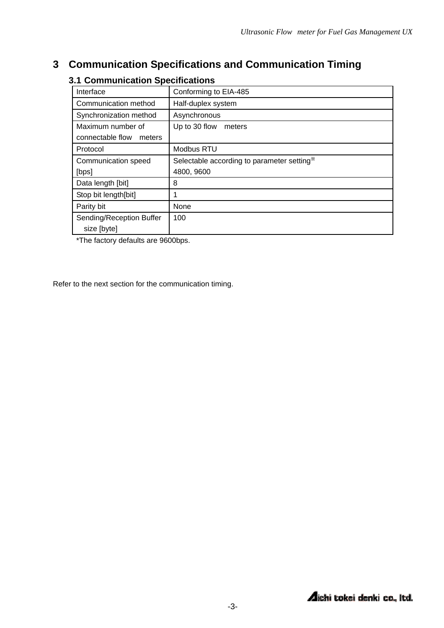## **3 Communication Specifications and Communication Timing**

| Interface                  | Conforming to EIA-485                      |
|----------------------------|--------------------------------------------|
| Communication method       | Half-duplex system                         |
| Synchronization method     | Asynchronous                               |
| Maximum number of          | Up to 30 flow<br>meters                    |
| connectable flow<br>meters |                                            |
| Protocol                   | Modbus RTU                                 |
| Communication speed        | Selectable according to parameter setting* |
| [bps]                      | 4800, 9600                                 |
| Data length [bit]          | 8                                          |
| Stop bit length[bit]       |                                            |
| Parity bit                 | None                                       |
| Sending/Reception Buffer   | 100                                        |
| size [byte]                |                                            |

### **3.1 Communication Specifications**

\*The factory defaults are 9600bps.

Refer to the next section for the communication timing.

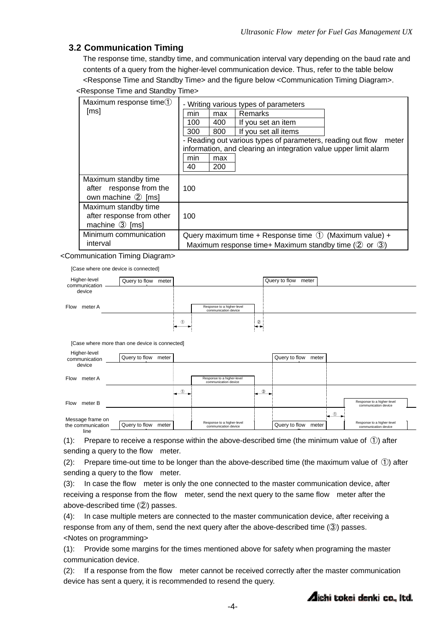### **3.2 Communication Timing**

The response time, standby time, and communication interval vary depending on the baud rate and contents of a query from the higher-level communication device. Thus, refer to the table below <Response Time and Standby Time> and the figure below <Communication Timing Diagram>.

| <response and="" standby="" time=""></response>                                                                                                                   |                                                                                                                                                                                                                                                                                                                     |  |  |  |  |
|-------------------------------------------------------------------------------------------------------------------------------------------------------------------|---------------------------------------------------------------------------------------------------------------------------------------------------------------------------------------------------------------------------------------------------------------------------------------------------------------------|--|--|--|--|
| Maximum response time <sup>1</sup><br>[ms]                                                                                                                        | - Writing various types of parameters<br><b>Remarks</b><br>max<br>min<br>400<br>If you set an item<br>100<br>If you set all items<br>800<br>300<br>- Reading out various types of parameters, reading out flow meter<br>information, and clearing an integration value upper limit alarm<br>min<br>max<br>200<br>40 |  |  |  |  |
| Maximum standby time<br>after response from the<br>own machine 2 [ms]                                                                                             | 100                                                                                                                                                                                                                                                                                                                 |  |  |  |  |
| Maximum standby time<br>after response from other<br>machine $\circled{3}$ [ms]                                                                                   | 100                                                                                                                                                                                                                                                                                                                 |  |  |  |  |
| Minimum communication<br>Query maximum time + Response time $(1)$ (Maximum value) +<br>interval<br>Maximum response time+ Maximum standby time ( $(2)$ or $(3)$ ) |                                                                                                                                                                                                                                                                                                                     |  |  |  |  |

<Communication Timing Diagram>

[Case where one device is connected]

| Higher-level<br>communication | Query to flow meter |               |                                                    |        | Query to flow meter |
|-------------------------------|---------------------|---------------|----------------------------------------------------|--------|---------------------|
| device                        |                     |               |                                                    |        |                     |
| Flow meter A                  |                     |               | Response to a higher-level<br>communication device |        |                     |
|                               |                     | $\circled{1}$ |                                                    | $\sim$ |                     |

[Case where more than one device is connected]

| Higher-level<br>communication         | Query to flow meter    |           |                                                    |               | Query to flow meter    |         |                                                    |  |
|---------------------------------------|------------------------|-----------|----------------------------------------------------|---------------|------------------------|---------|----------------------------------------------------|--|
| device                                |                        |           |                                                    |               |                        |         |                                                    |  |
| Flow<br>meter A                       |                        |           | Response to a higher-level<br>communication device |               |                        |         |                                                    |  |
|                                       |                        | $\bullet$ |                                                    | $\circled{3}$ |                        |         |                                                    |  |
| Flow<br>meter B                       |                        |           |                                                    |               |                        |         | Response to a higher-level<br>communication device |  |
|                                       |                        |           |                                                    |               |                        | $\circ$ |                                                    |  |
| Message frame on<br>the communication | Query to flow<br>meter |           | Response to a higher-level<br>communication device |               | Query to flow<br>meter |         | Response to a higher-level<br>communication device |  |
| line                                  |                        |           |                                                    |               |                        |         |                                                    |  |

(1): Prepare to receive a response within the above-described time (the minimum value of  $(1)$ ) after sending a query to the flow meter.

(2): Prepare time-out time to be longer than the above-described time (the maximum value of  $(1)$ ) after sending a query to the flow meter.

(3): In case the flow meter is only the one connected to the master communication device, after receiving a response from the flow meter, send the next query to the same flow meter after the above-described time (②) passes.

(4): In case multiple meters are connected to the master communication device, after receiving a response from any of them, send the next query after the above-described time (③) passes. <Notes on programming>

(1): Provide some margins for the times mentioned above for safety when programing the master communication device.

(2): If a response from the flow meter cannot be received correctly after the master communication device has sent a query, it is recommended to resend the query.

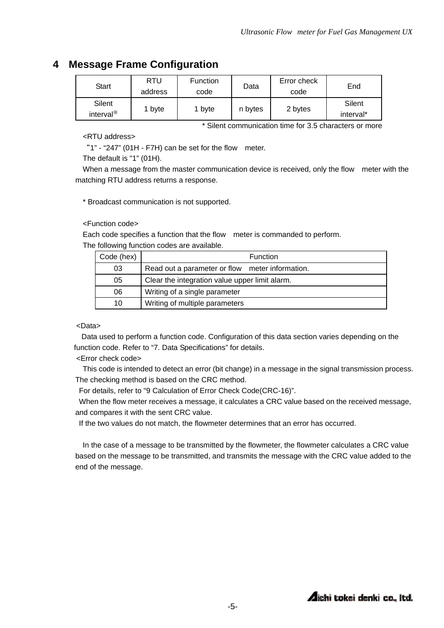## **4 Message Frame Configuration**

| <b>Start</b>                    | RTU<br>address | <b>Function</b><br>code | Data    | Error check<br>code | End                 |
|---------------------------------|----------------|-------------------------|---------|---------------------|---------------------|
| Silent<br>interval <sup>*</sup> | 1 byte         | 1 byte                  | n bytes | 2 bytes             | Silent<br>interval* |

\* Silent communication time for 3.5 characters or more

#### <RTU address>

"1" - "247" (01H - F7H) can be set for the flow meter.

The default is "1" (01H).

When a message from the master communication device is received, only the flow meter with the matching RTU address returns a response.

\* Broadcast communication is not supported.

#### <Function code>

Each code specifies a function that the flow meter is commanded to perform. The following function codes are available.

| Code (hex) | Function                                        |  |  |  |
|------------|-------------------------------------------------|--|--|--|
| 03         | Read out a parameter or flow meter information. |  |  |  |
| 05         | Clear the integration value upper limit alarm.  |  |  |  |
| 06         | Writing of a single parameter                   |  |  |  |
| 10         | Writing of multiple parameters                  |  |  |  |

#### <Data>

Data used to perform a function code. Configuration of this data section varies depending on the function code. Refer to "7. Data Specifications" for details.

<Error check code>

This code is intended to detect an error (bit change) in a message in the signal transmission process. The checking method is based on the CRC method.

For details, refer to "9 Calculation of Error Check Code(CRC-16)".

When the flow meter receives a message, it calculates a CRC value based on the received message, and compares it with the sent CRC value.

If the two values do not match, the flowmeter determines that an error has occurred.

In the case of a message to be transmitted by the flowmeter, the flowmeter calculates a CRC value based on the message to be transmitted, and transmits the message with the CRC value added to the end of the message.

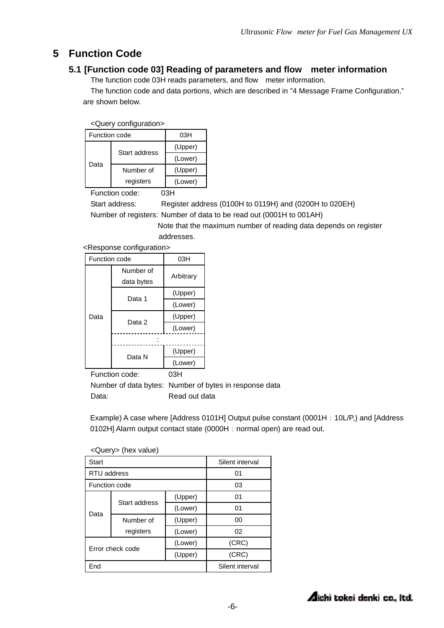## **5 Function Code**

### **5.1 [Function code 03] Reading of parameters and flow meter information**

The function code 03H reads parameters, and flow meter information.

The function code and data portions, which are described in "4 Message Frame Configuration," are shown below.

<Query configuration>

| Function code |               | 03H     |
|---------------|---------------|---------|
|               | Start address | (Upper) |
| Data          |               | (Lower) |
|               | Number of     | (Upper) |
|               | registers     | (Lower) |

Function code: 03H

Start address: Register address (0100H to 0119H) and (0200H to 020EH) Number of registers: Number of data to be read out (0001H to 001AH)

> Note that the maximum number of reading data depends on register addresses.

<Response configuration>

| Function code |            | 03H       |  |
|---------------|------------|-----------|--|
|               | Number of  | Arbitrary |  |
|               | data bytes |           |  |
|               | Data 1     | (Upper)   |  |
|               |            | (Lower)   |  |
| Data          |            | (Upper)   |  |
|               | Data 2     | (Lower)   |  |
|               |            |           |  |
|               | Data N     | (Upper)   |  |
|               |            | (Lower)   |  |

Function code: 03H

Number of data bytes: Number of bytes in response data Data: Read out data

Example) A case where [Address 0101H] Output pulse constant (0001H: 10L/P,) and [Address 0102H] Alarm output contact state (0000H: normal open) are read out.

| $\sqrt{2}$           |                            |                 |       |  |  |
|----------------------|----------------------------|-----------------|-------|--|--|
| Start                |                            | Silent interval |       |  |  |
| RTU address          |                            | 01              |       |  |  |
| <b>Function code</b> |                            | 03              |       |  |  |
|                      | Start address<br>Number of | (Upper)         | 01    |  |  |
| Data                 |                            | (Lower)         | 01    |  |  |
|                      |                            | (Upper)         | 00    |  |  |
|                      | registers                  | (Lower)         | 02    |  |  |
|                      | Error check code           | (Lower)         | (CRC) |  |  |
|                      |                            | (Upper)         | (CRC) |  |  |
| End                  |                            | Silent interval |       |  |  |

 $\sqrt{Q}$ uery (hex value)

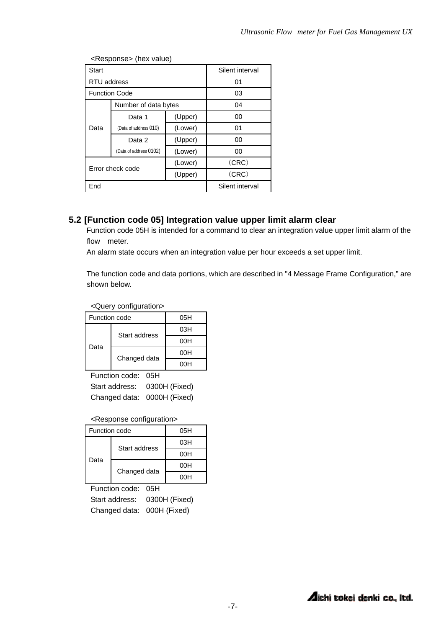| <b>Start</b>         |                        | Silent interval |       |  |  |  |
|----------------------|------------------------|-----------------|-------|--|--|--|
| RTU address          |                        | 01              |       |  |  |  |
| <b>Function Code</b> |                        | 03              |       |  |  |  |
|                      | Number of data bytes   | 04              |       |  |  |  |
|                      | Data 1                 | (Upper)         | 00    |  |  |  |
| Data                 | (Data of address 010)  | (Lower)         | 01    |  |  |  |
|                      | Data 2                 | (Upper)         | 00    |  |  |  |
|                      | (Data of address 0102) | (Lower)         | 00    |  |  |  |
|                      | Error check code       | (Lower)         | (CRC) |  |  |  |
|                      |                        | (Upper)         | (CRC) |  |  |  |
| End                  |                        | Silent interval |       |  |  |  |

<Response> (hex value)

### **5.2 [Function code 05] Integration value upper limit alarm clear**

Function code 05H is intended for a command to clear an integration value upper limit alarm of the flow meter.

An alarm state occurs when an integration value per hour exceeds a set upper limit.

The function code and data portions, which are described in "4 Message Frame Configuration," are shown below.

<Query configuration>

| Function code |               | 05H |
|---------------|---------------|-----|
|               | Start address | 03H |
| Data          |               | 00H |
|               |               | 00H |
|               | Changed data  | 00H |

Function code: 05H Start address: 0300H (Fixed) Changed data: 0000H (Fixed)

#### <Response configuration>

| Function code |               | 05H |
|---------------|---------------|-----|
| Data          | Start address | 03H |
|               |               | 00H |
|               |               | 00H |
|               | Changed data  | ากม |

Function code: 05H Start address: 0300H (Fixed) Changed data: 000H (Fixed)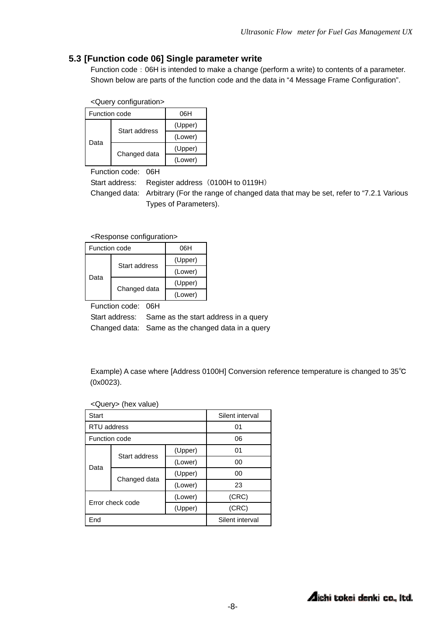### **5.3 [Function code 06] Single parameter write**

Function code: 06H is intended to make a change (perform a write) to contents of a parameter. Shown below are parts of the function code and the data in "4 Message Frame Configuration".

<Query configuration>

| Function code |               | 06H     |
|---------------|---------------|---------|
| Data          | Start address | (Upper) |
|               |               | (Lower) |
|               |               | (Upper) |
|               | Changed data  | (Lower) |

Function code: 06H

Start address: Register address (0100H to 0119H)

Changed data: Arbitrary (For the range of changed data that may be set, refer to "7.2.1 Various Types of Parameters).

<Response configuration>

| Function code |               | 06H     |
|---------------|---------------|---------|
| Data          | Start address | (Upper) |
|               |               | (Lower) |
|               |               | (Upper) |
|               | Changed data  | (Lower) |

Function code: 06H

Start address: Same as the start address in a query Changed data: Same as the changed data in a query

Example) A case where [Address 0100H] Conversion reference temperature is changed to 35℃ (0x0023).

| Start                                  |               |         | Silent interval |
|----------------------------------------|---------------|---------|-----------------|
| RTU address                            |               |         | 01              |
| Function code                          |               |         | 06              |
| Data                                   | Start address | (Upper) | 01              |
|                                        |               | (Lower) | 00              |
|                                        |               | (Upper) | 00              |
|                                        | Changed data  | (Lower) | 23              |
| (Lower)<br>Error check code<br>(Upper) |               |         | (CRC)           |
|                                        |               |         | (CRC)           |
| End                                    |               |         | Silent interval |

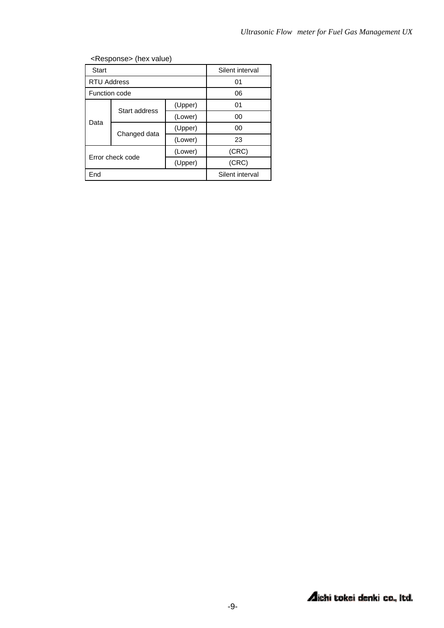| <b>Start</b>                           |               |         | Silent interval |  |  |
|----------------------------------------|---------------|---------|-----------------|--|--|
| <b>RTU Address</b>                     |               | 01      |                 |  |  |
| Function code                          |               |         | 06              |  |  |
| Data                                   | Start address | (Upper) | 01              |  |  |
|                                        |               | (Lower) | 00              |  |  |
|                                        |               | (Upper) | 00              |  |  |
|                                        | Changed data  | (Lower) | 23              |  |  |
| (Lower)<br>Error check code<br>(Upper) |               |         | (CRC)           |  |  |
|                                        |               |         | (CRC)           |  |  |
| End                                    |               |         | Silent interval |  |  |
|                                        |               |         |                 |  |  |

<Response> (hex value)

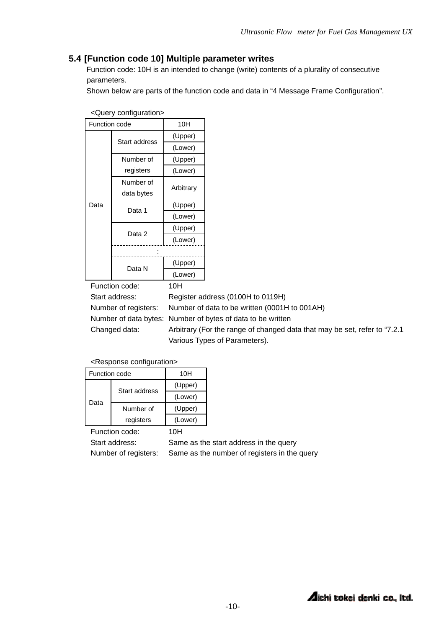### **5.4 [Function code 10] Multiple parameter writes**

Function code: 10H is an intended to change (write) contents of a plurality of consecutive parameters.

Shown below are parts of the function code and data in "4 Message Frame Configuration".

| Function code |               | 10H       |  |
|---------------|---------------|-----------|--|
|               | Start address | (Upper)   |  |
|               |               | (Lower)   |  |
|               | Number of     | (Upper)   |  |
|               | registers     | (Lower)   |  |
|               | Number of     | Arbitrary |  |
|               | data bytes    |           |  |
| Data          | Data 1        | (Upper)   |  |
|               |               | (Lower)   |  |
|               | Data 2        | (Upper)   |  |
|               |               | (Lower)   |  |
|               |               |           |  |
|               | Data N        | (Upper)   |  |
|               |               | (Lower)   |  |

<Query configuration>

Function code: 10H

Start address: Register address (0100H to 0119H) Number of registers: Number of data to be written (0001H to 001AH) Number of data bytes: Number of bytes of data to be written Changed data: Arbitrary (For the range of changed data that may be set, refer to "7.2.1 Various Types of Parameters).

<Response configuration>

| Function code |               | 10H     |
|---------------|---------------|---------|
| Data          | Start address | (Upper) |
|               |               | (Lower) |
|               | Number of     | (Upper) |
|               | registers     | (Lower) |

Function code: 10H

Start address: Same as the start address in the query Number of registers: Same as the number of registers in the query

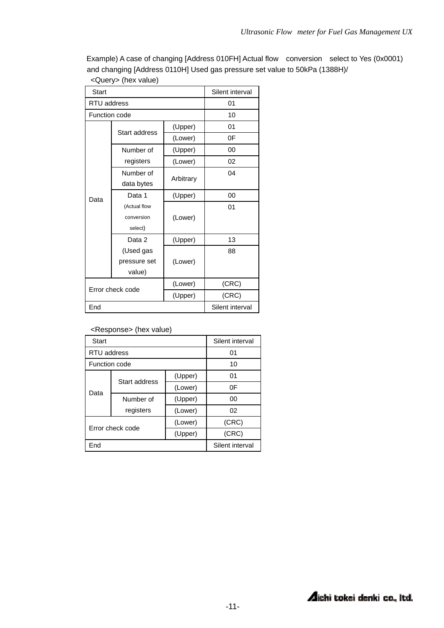Example) A case of changing [Address 010FH] Actual flow conversion select to Yes (0x0001) and changing [Address 0110H] Used gas pressure set value to 50kPa (1388H)/

| <b>Start</b>       |                         | Silent interval |                 |
|--------------------|-------------------------|-----------------|-----------------|
| <b>RTU</b> address |                         | 01              |                 |
| Function code      |                         |                 | 10              |
|                    | Start address           | (Upper)         | 01              |
|                    |                         | (Lower)         | 0F              |
|                    | Number of               | (Upper)         | 00              |
|                    | registers               | (Lower)         | 02              |
|                    | Number of               |                 | 04              |
|                    | Arbitrary<br>data bytes |                 |                 |
| Data               | Data 1<br>(Upper)       |                 | 00              |
|                    | (Actual flow            | (Lower)         | 01              |
|                    | conversion              |                 |                 |
|                    | select)                 |                 |                 |
|                    | Data 2                  | (Upper)         | 13              |
|                    | (Used gas               |                 | 88              |
|                    | pressure set            | (Lower)         |                 |
| value)             |                         |                 |                 |
| Error check code   |                         | (Lower)         | (CRC)           |
|                    |                         | (Upper)         | (CRC)           |
| End                |                         |                 | Silent interval |

<Query> (hex value)

<Response> (hex value)

| <b>Start</b>                           |               | Silent interval |                 |
|----------------------------------------|---------------|-----------------|-----------------|
| RTU address                            |               | 01              |                 |
| Function code                          |               |                 | 10              |
| Data                                   | Start address | (Upper)         | 01              |
|                                        |               | (Lower)         | 0F              |
|                                        | Number of     | (Upper)         | 00              |
|                                        | registers     | (Lower)         | 02              |
| (Lower)<br>Error check code<br>(Upper) |               |                 | (CRC)           |
|                                        |               |                 | (CRC)           |
| End                                    |               |                 | Silent interval |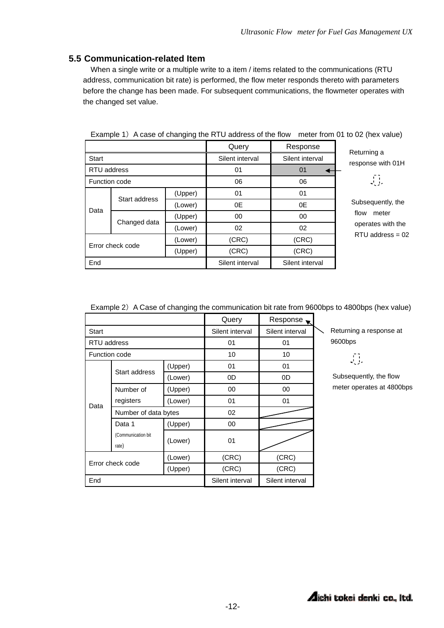### **5.5 Communication-related Item**

When a single write or a multiple write to a item / items related to the communications (RTU address, communication bit rate) is performed, the flow meter responds thereto with parameters before the change has been made. For subsequent communications, the flowmeter operates with the changed set value.

|                  |               |                 | Query           | Response          | Returning a        |  |
|------------------|---------------|-----------------|-----------------|-------------------|--------------------|--|
| <b>Start</b>     |               | Silent interval | Silent interval | response with 01H |                    |  |
| RTU address      |               | 01              | 01              |                   |                    |  |
| Function code    |               |                 | 06              | 06                | 荨                  |  |
|                  |               |                 | (Upper)         | 01                | 01                 |  |
|                  | Start address | (Lower)         | 0E              | 0E                | Subsequently, the  |  |
| Data             |               | (Upper)         | $00\,$          | 00                | flow<br>meter      |  |
|                  | Changed data  | (Lower)         | 02              | 02                | operates with the  |  |
| Error check code |               | (Lower)         | (CRC)           | (CRC)             | $RTU$ address = 02 |  |
|                  |               | (Upper)         | (CRC)           | (CRC)             |                    |  |
| End              |               |                 | Silent interval | Silent interval   |                    |  |

Example 1) A case of changing the RTU address of the flow meter from 01 to 02 (hex value)

Example 2) A Case of changing the communication bit rate from 9600bps to 4800bps (hex value)

|                                        |                      |                 | Query           | Response        |
|----------------------------------------|----------------------|-----------------|-----------------|-----------------|
| Start                                  |                      |                 | Silent interval | Silent interval |
| RTU address                            |                      |                 | 01              | 01              |
| Function code                          |                      |                 | 10              | 10              |
|                                        |                      | (Upper)         | 01              | 01              |
|                                        | Start address        | (Lower)         | 0D              | 0D              |
|                                        | Number of            | (Upper)         | 00              | 00              |
| Data                                   | registers            | (Lower)         | 01              | 01              |
|                                        | Number of data bytes |                 | 02              |                 |
|                                        | Data 1               | (Upper)         | 00              |                 |
| (Communication bit<br>rate)            |                      | (Lower)         | 01              |                 |
| (Lower)<br>Error check code<br>(Upper) |                      |                 | (CRC)           | (CRC)           |
|                                        |                      |                 | (CRC)           | (CRC)           |
| End                                    |                      | Silent interval | Silent interval |                 |

Returning a response at 9600bps

 $\begin{bmatrix} 1 \\ 1 \end{bmatrix}$ 

Subsequently, the flow meter operates at 4800bps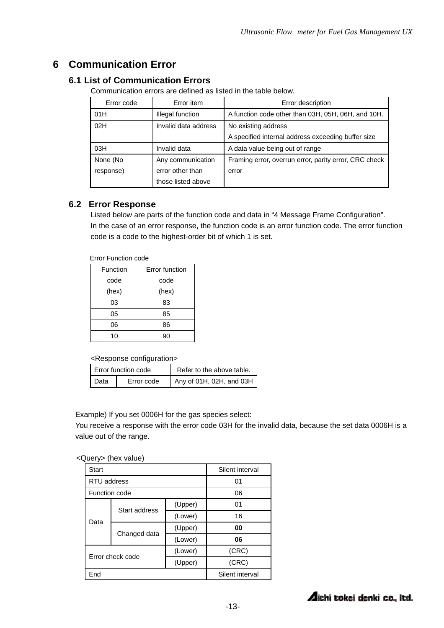## **6 Communication Error**

### **6.1 List of Communication Errors**

Communication errors are defined as listed in the table below.

| Error code | Error item                                  | Error description                                     |
|------------|---------------------------------------------|-------------------------------------------------------|
| 01H        | Illegal function                            | A function code other than 03H, 05H, 06H, and 10H.    |
| 02H        | Invalid data address<br>No existing address |                                                       |
|            |                                             | A specified internal address exceeding buffer size    |
| 03H        | Invalid data                                | A data value being out of range                       |
| None (No   | Any communication                           | Framing error, overrun error, parity error, CRC check |
| response)  | error other than                            | error                                                 |
|            | those listed above                          |                                                       |

### **6.2 Error Response**

Listed below are parts of the function code and data in "4 Message Frame Configuration". In the case of an error response, the function code is an error function code. The error function code is a code to the highest-order bit of which 1 is set.

Error Function code

| Function | Error function |  |
|----------|----------------|--|
| code     | code           |  |
| (hex)    | (hex)          |  |
| 03       | 83             |  |
| 05       | 85             |  |
| 06       | 86             |  |
| 10       | റ്ററ           |  |

<Response configuration>

| Error function code |            | Refer to the above table. |  |
|---------------------|------------|---------------------------|--|
| I Data              | Error code | Any of 01H, 02H, and 03H  |  |

Example) If you set 0006H for the gas species select:

You receive a response with the error code 03H for the invalid data, because the set data 0006H is a value out of the range.

| <query> (hex value)</query> |  |  |
|-----------------------------|--|--|
|                             |  |  |

| <b>Start</b>                           |               |         | Silent interval |  |
|----------------------------------------|---------------|---------|-----------------|--|
| RTU address                            |               |         | 01              |  |
| Function code                          |               |         | 06              |  |
|                                        | Start address | (Upper) | 01              |  |
| Data                                   |               | (Lower) | 16              |  |
|                                        |               | (Upper) | 00              |  |
|                                        | Changed data  | (Lower) | 06              |  |
| (Lower)<br>Error check code<br>(Upper) |               |         | (CRC)           |  |
|                                        |               | (CRC)   |                 |  |
| End                                    |               |         | Silent interval |  |

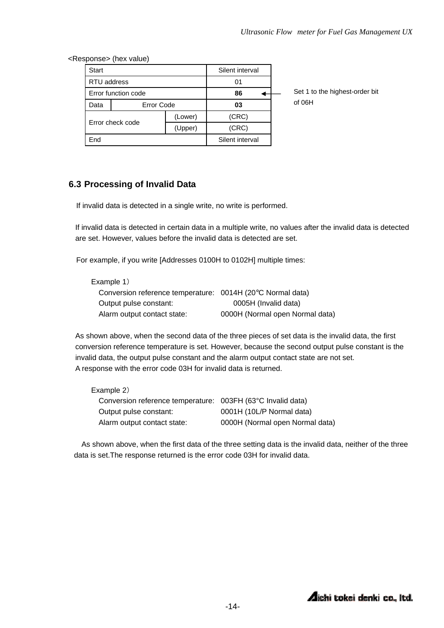<Response> (hex value)

| <b>Start</b>        |                   |                 | Silent interval |  |
|---------------------|-------------------|-----------------|-----------------|--|
| RTU address         |                   |                 | 01              |  |
| Error function code |                   |                 | 86              |  |
| Data                | <b>Error Code</b> |                 | 03              |  |
| Error check code    |                   | (Lower)         | (CRC)           |  |
|                     |                   | (Upper)         | (CRC)           |  |
| End                 |                   | Silent interval |                 |  |

Set 1 to the highest-order bit of 06H

### **6.3 Processing of Invalid Data**

If invalid data is detected in a single write, no write is performed.

If invalid data is detected in certain data in a multiple write, no values after the invalid data is detected are set. However, values before the invalid data is detected are set.

For example, if you write [Addresses 0100H to 0102H] multiple times:

| Example 1)                                                 |                                 |
|------------------------------------------------------------|---------------------------------|
| Conversion reference temperature: 0014H (20°C Normal data) |                                 |
| Output pulse constant:                                     | 0005H (Invalid data)            |
| Alarm output contact state:                                | 0000H (Normal open Normal data) |

As shown above, when the second data of the three pieces of set data is the invalid data, the first conversion reference temperature is set. However, because the second output pulse constant is the invalid data, the output pulse constant and the alarm output contact state are not set. A response with the error code 03H for invalid data is returned.

| Example 2)                                                  |                                 |
|-------------------------------------------------------------|---------------------------------|
| Conversion reference temperature: 003FH (63°C Invalid data) |                                 |
| Output pulse constant:                                      | 0001H (10L/P Normal data)       |
| Alarm output contact state:                                 | 0000H (Normal open Normal data) |

As shown above, when the first data of the three setting data is the invalid data, neither of the three data is set.The response returned is the error code 03H for invalid data.

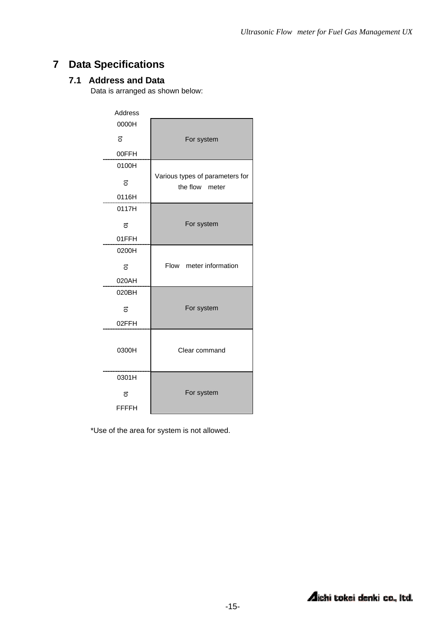## **7 Data Specifications**

### **7.1 Address and Data**

Data is arranged as shown below:

| Address      |                                                   |  |
|--------------|---------------------------------------------------|--|
| 0000H        |                                                   |  |
| 5            | For system                                        |  |
| 00FFH        |                                                   |  |
| 0100H        |                                                   |  |
| ಕ            | Various types of parameters for<br>the flow meter |  |
| 0116H        |                                                   |  |
| 0117H        |                                                   |  |
| ಕ            | For system                                        |  |
| 01FFH        |                                                   |  |
| 0200H        |                                                   |  |
| 5            | Flow meter information                            |  |
| 020AH        |                                                   |  |
| 020BH        |                                                   |  |
| 5            | For system                                        |  |
| 02FFH        |                                                   |  |
| 0300H        | Clear command                                     |  |
| 0301H        |                                                   |  |
| 5            | For system                                        |  |
| <b>FFFFH</b> |                                                   |  |

\*Use of the area for system is not allowed.

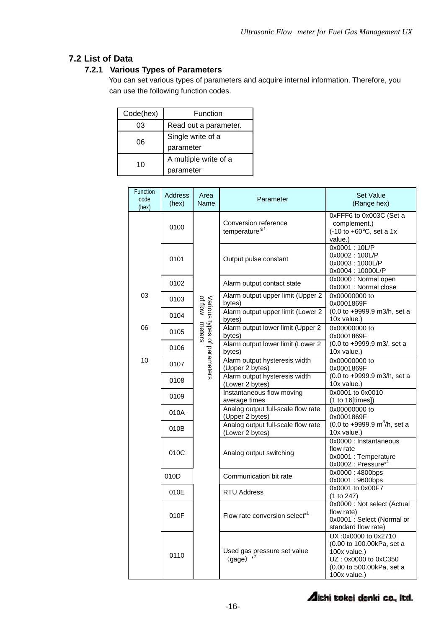### **7.2 List of Data**

### **7.2.1 Various Types of Parameters**

You can set various types of parameters and acquire internal information. Therefore, you can use the following function codes.

| Code(hex) | Function              |  |
|-----------|-----------------------|--|
| 03        | Read out a parameter. |  |
| 06        | Single write of a     |  |
|           | parameter             |  |
| 10        | A multiple write of a |  |
|           | parameter             |  |

| Function<br>code<br>(hex) | <b>Address</b><br>(hex) | Area<br>Name                                  | Parameter                                             | <b>Set Value</b><br>(Range hex)                                                                                                       |
|---------------------------|-------------------------|-----------------------------------------------|-------------------------------------------------------|---------------------------------------------------------------------------------------------------------------------------------------|
|                           | 0100                    |                                               | Conversion reference<br>temperature <sup>*1</sup>     | 0xFFF6 to 0x003C (Set a<br>complement.)<br>$(-10 \text{ to } +60^{\circ} \text{C}, \text{ set a } 1 \text{x})$<br>value.)             |
|                           | 0101                    |                                               | Output pulse constant                                 | 0x0001:10L/P<br>0x0002:100L/P<br>0x0003:1000L/P<br>0x0004:10000L/P                                                                    |
|                           | 0102                    |                                               | Alarm output contact state                            | 0x0000 : Normal open<br>0x0001 : Normal close                                                                                         |
| 03                        | 0103                    |                                               | Alarm output upper limit (Upper 2<br>bytes)           | 0x00000000 to<br>0x0001869F                                                                                                           |
|                           | 0104                    |                                               | Alarm output upper limit (Lower 2<br>bytes)           | (0.0 to +9999.9 m3/h, set a<br>10x value.)                                                                                            |
| 06                        | 0105                    | Various types of parameters<br>of flow meters | Alarm output lower limit (Upper 2<br>bytes)           | 0x00000000 to<br>0x0001869F                                                                                                           |
|                           | 0106                    |                                               | Alarm output lower limit (Lower 2<br>bytes)           | (0.0 to +9999.9 m3/, set a<br>10x value.)                                                                                             |
| 10                        | 0107                    |                                               | Alarm output hysteresis width<br>(Upper 2 bytes)      | 0x00000000 to<br>0x0001869F                                                                                                           |
|                           | 0108                    |                                               | Alarm output hysteresis width<br>(Lower 2 bytes)      | (0.0 to +9999.9 m3/h, set a<br>10x value.)                                                                                            |
|                           | 0109                    |                                               | Instantaneous flow moving<br>average times            | 0x0001 to 0x0010<br>(1 to 16[times])                                                                                                  |
|                           | 010A                    |                                               | Analog output full-scale flow rate<br>(Upper 2 bytes) | 0x00000000 to<br>0x0001869F                                                                                                           |
|                           | 010B                    |                                               | Analog output full-scale flow rate<br>(Lower 2 bytes) | $(0.0 \text{ to } +9999.9 \text{ m}^3/h, \text{ set a})$<br>10x value.)                                                               |
|                           | 010C                    |                                               | Analog output switching                               | 0x0000 : Instantaneous<br>flow rate<br>0x0001 : Temperature<br>0x0002 : Pressure <sup>*1</sup>                                        |
|                           | 010D                    |                                               | Communication bit rate                                | 0x0000:4800bps<br>0x0001:9600bps                                                                                                      |
|                           | 010E                    |                                               | <b>RTU Address</b>                                    | 0x0001 to 0x00F7<br>(1 to 247)                                                                                                        |
|                           | 010F                    |                                               | Flow rate conversion select <sup>*1</sup>             | 0x0000 : Not select (Actual<br>flow rate)<br>0x0001 : Select (Normal or<br>standard flow rate)                                        |
|                           | 0110                    |                                               | Used gas pressure set value<br>$(gage) *2$            | UX:0x0000 to 0x2710<br>(0.00 to 100.00kPa, set a<br>100x value.)<br>UZ: 0x0000 to 0xC350<br>(0.00 to 500.00kPa, set a<br>100x value.) |

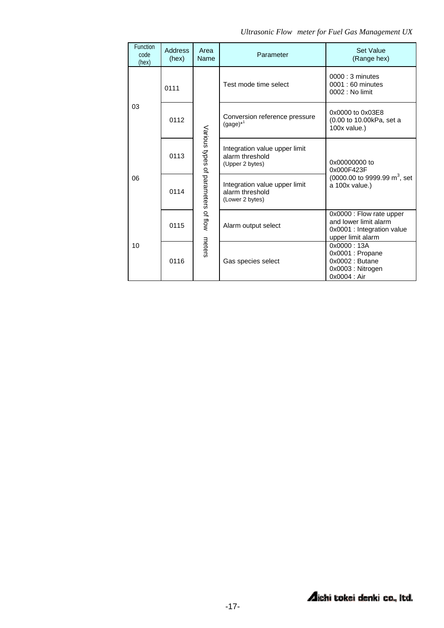|  | Ultrasonic Flow meter for Fuel Gas Management UX |  |
|--|--------------------------------------------------|--|
|--|--------------------------------------------------|--|

| Function<br>code<br>(hex) | <b>Address</b><br>(hex) | Area<br>Name                        | Parameter                                                           | Set Value<br>(Range hex)                                                                             |
|---------------------------|-------------------------|-------------------------------------|---------------------------------------------------------------------|------------------------------------------------------------------------------------------------------|
|                           | 0111                    | Various types of parameters of flow | Test mode time select                                               | $0000:3$ minutes<br>0001 : 60 minutes<br>0002 : No limit                                             |
| 03                        | 0112                    |                                     | Conversion reference pressure<br>$(gage)^{*1}$                      | 0x0000 to 0x03E8<br>(0.00 to 10.00kPa, set a<br>100x value.)                                         |
| 06                        | 0113                    |                                     | Integration value upper limit<br>alarm threshold<br>(Upper 2 bytes) | 0x00000000 to<br>0x000F423F                                                                          |
|                           | 0114                    |                                     | Integration value upper limit<br>alarm threshold<br>(Lower 2 bytes) | (0000.00 to 9999.99 m <sup>3</sup> , set<br>a 100x value.)                                           |
|                           | 0115                    |                                     | Alarm output select                                                 | 0x0000 : Flow rate upper<br>and lower limit alarm<br>0x0001 : Integration value<br>upper limit alarm |
| 10                        | 0116                    | meters                              | Gas species select                                                  | 0x0000:13A<br>0x0001 : Propane<br>0x0002: Butane<br>0x0003: Nitrogen<br>0x0004 : Air                 |

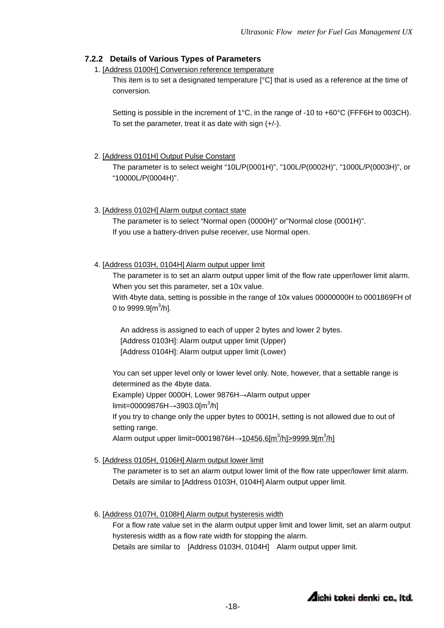### **7.2.2 Details of Various Types of Parameters**

1. [Address 0100H] Conversion reference temperature

This item is to set a designated temperature  $[°C]$  that is used as a reference at the time of conversion.

Setting is possible in the increment of 1°C, in the range of -10 to +60°C (FFF6H to 003CH). To set the parameter, treat it as date with sign (+/-).

#### 2. [Address 0101H] Output Pulse Constant

The parameter is to select weight "10L/P(0001H)", "100L/P(0002H)", "1000L/P(0003H)", or "10000L/P(0004H)".

#### 3. [Address 0102H] Alarm output contact state

The parameter is to select "Normal open (0000H)" or"Normal close (0001H)". If you use a battery-driven pulse receiver, use Normal open.

### 4. [Address 0103H, 0104H] Alarm output upper limit

The parameter is to set an alarm output upper limit of the flow rate upper/lower limit alarm. When you set this parameter, set a 10x value.

With 4byte data, setting is possible in the range of 10x values 00000000H to 0001869FH of 0 to 9999.9[m<sup>3</sup>/h].

An address is assigned to each of upper 2 bytes and lower 2 bytes. [Address 0103H]: Alarm output upper limit (Upper) [Address 0104H]: Alarm output upper limit (Lower)

You can set upper level only or lower level only. Note, however, that a settable range is determined as the 4byte data.

Example) Upper 0000H, Lower 9876H→Alarm output upper

limit=00009876H→3903.0[m<sup>3</sup>/h]

If you try to change only the upper bytes to 0001H, setting is not allowed due to out of setting range.

Alarm output upper limit=00019876H→10456.6[m<sup>3</sup>/h]>9999.9[m<sup>3</sup>/h]

#### 5. [Address 0105H, 0106H] Alarm output lower limit

The parameter is to set an alarm output lower limit of the flow rate upper/lower limit alarm. Details are similar to [Address 0103H, 0104H] Alarm output upper limit.

#### 6. [Address 0107H, 0108H] Alarm output hysteresis width

For a flow rate value set in the alarm output upper limit and lower limit, set an alarm output hysteresis width as a flow rate width for stopping the alarm.

Details are similar to [Address 0103H, 0104H] Alarm output upper limit.

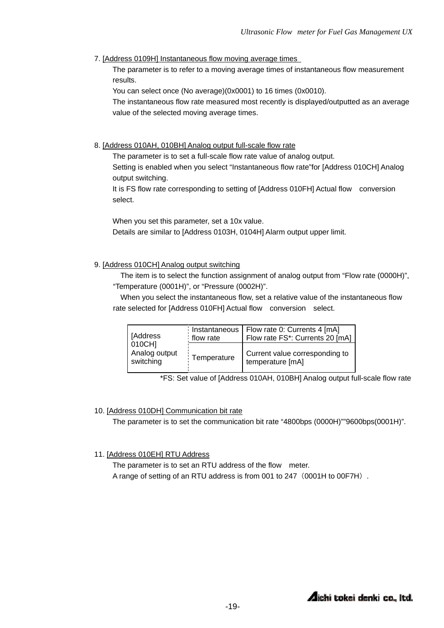7. [Address 0109H] Instantaneous flow moving average times

The parameter is to refer to a moving average times of instantaneous flow measurement results.

You can select once (No average)(0x0001) to 16 times (0x0010).

The instantaneous flow rate measured most recently is displayed/outputted as an average value of the selected moving average times.

8. [Address 010AH, 010BH] Analog output full-scale flow rate

The parameter is to set a full-scale flow rate value of analog output.

Setting is enabled when you select "Instantaneous flow rate"for [Address 010CH] Analog output switching.

It is FS flow rate corresponding to setting of [Address 010FH] Actual flow conversion select.

When you set this parameter, set a 10x value.

Details are similar to [Address 0103H, 0104H] Alarm output upper limit.

#### 9. [Address 010CH] Analog output switching

The item is to select the function assignment of analog output from "Flow rate (0000H)", "Temperature (0001H)", or "Pressure (0002H)".

When you select the instantaneous flow, set a relative value of the instantaneous flow rate selected for [Address 010FH] Actual flow conversion select.

| [Address]                            | flow rate   | Instantaneous   Flow rate 0: Currents 4 [mA]<br>Flow rate FS*: Currents 20 [mA] |
|--------------------------------------|-------------|---------------------------------------------------------------------------------|
| 010CH]<br>Analog output<br>switching | Temperature | Current value corresponding to<br>temperature [mA]                              |

\*FS: Set value of [Address 010AH, 010BH] Analog output full-scale flow rate

#### 10. [Address 010DH] Communication bit rate

The parameter is to set the communication bit rate "4800bps (0000H)""9600bps(0001H)".

#### 11. [Address 010EH] RTU Address

The parameter is to set an RTU address of the flow meter. A range of setting of an RTU address is from 001 to 247 (0001H to 00F7H).

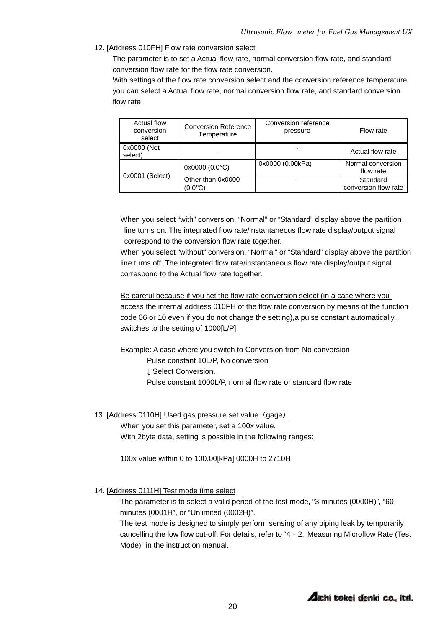#### 12. [Address 010FH] Flow rate conversion select

The parameter is to set a Actual flow rate, normal conversion flow rate, and standard conversion flow rate for the flow rate conversion.

With settings of the flow rate conversion select and the conversion reference temperature, you can select a Actual flow rate, normal conversion flow rate, and standard conversion flow rate.

| Actual flow<br>conversion<br>select | <b>Conversion Reference</b><br>Temperature | Conversion reference<br>pressure | Flow rate                        |
|-------------------------------------|--------------------------------------------|----------------------------------|----------------------------------|
| 0x0000 (Not<br>select)              |                                            | $\overline{\phantom{0}}$         | Actual flow rate                 |
|                                     | $0x0000(0.0^{\circ}C)$                     | 0x0000 (0.00kPa)                 | Normal conversion<br>flow rate   |
| 0x0001 (Select)                     | Other than 0x0000<br>(0.0°C)               | $\overline{\phantom{0}}$         | Standard<br>conversion flow rate |

When you select "with" conversion, "Normal" or "Standard" display above the partition line turns on. The integrated flow rate/instantaneous flow rate display/output signal correspond to the conversion flow rate together.

When you select "without" conversion, "Normal" or "Standard" display above the partition line turns off. The integrated flow rate/instantaneous flow rate display/output signal correspond to the Actual flow rate together.

Be careful because if you set the flow rate conversion select (in a case where you access the internal address 010FH of the flow rate conversion by means of the function code 06 or 10 even if you do not change the setting), a pulse constant automatically switches to the setting of 1000[L/P].

Example: A case where you switch to Conversion from No conversion

Pulse constant 10L/P, No conversion

- ↓ Select Conversion.
- Pulse constant 1000L/P, normal flow rate or standard flow rate
- 13. [Address 0110H] Used gas pressure set value (gage)

When you set this parameter, set a 100x value.

With 2byte data, setting is possible in the following ranges:

100x value within 0 to 100.00[kPa] 0000H to 2710H

#### 14. [Address 0111H] Test mode time select

The parameter is to select a valid period of the test mode, "3 minutes (0000H)", "60 minutes (0001H", or "Unlimited (0002H)".

The test mode is designed to simply perform sensing of any piping leak by temporarily cancelling the low flow cut-off. For details, refer to "4 - 2. Measuring Microflow Rate (Test Mode)" in the instruction manual.

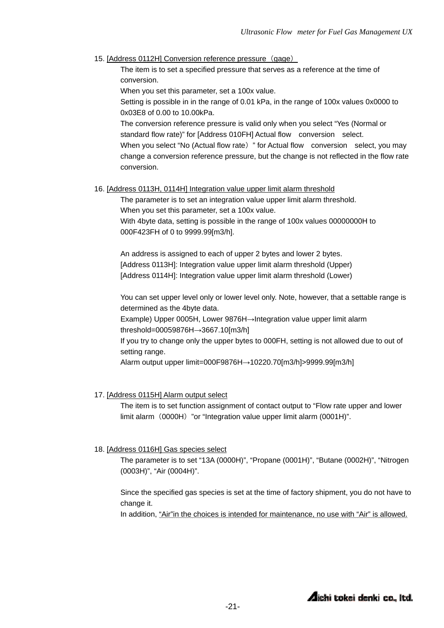#### 15. [Address 0112H] Conversion reference pressure (gage)

The item is to set a specified pressure that serves as a reference at the time of conversion.

When you set this parameter, set a 100x value.

Setting is possible in in the range of 0.01 kPa, in the range of 100x values 0x0000 to 0x03E8 of 0.00 to 10.00kPa.

The conversion reference pressure is valid only when you select "Yes (Normal or standard flow rate)" for [Address 010FH] Actual flow conversion select.

When you select "No (Actual flow rate) " for Actual flow conversion select, you may change a conversion reference pressure, but the change is not reflected in the flow rate conversion.

#### 16. [Address 0113H, 0114H] Integration value upper limit alarm threshold

The parameter is to set an integration value upper limit alarm threshold. When you set this parameter, set a 100x value. With 4byte data, setting is possible in the range of 100x values 00000000H to

000F423FH of 0 to 9999.99[m3/h].

An address is assigned to each of upper 2 bytes and lower 2 bytes. [Address 0113H]: Integration value upper limit alarm threshold (Upper) [Address 0114H]: Integration value upper limit alarm threshold (Lower)

You can set upper level only or lower level only. Note, however, that a settable range is determined as the 4byte data.

Example) Upper 0005H, Lower 9876H→Integration value upper limit alarm threshold=00059876H→3667.10[m3/h]

If you try to change only the upper bytes to 000FH, setting is not allowed due to out of setting range.

Alarm output upper limit=000F9876H→10220.70[m3/h]>9999.99[m3/h]

#### 17. [Address 0115H] Alarm output select

The item is to set function assignment of contact output to "Flow rate upper and lower limit alarm (0000H) "or "Integration value upper limit alarm (0001H)".

#### 18. [Address 0116H] Gas species select

The parameter is to set "13A (0000H)", "Propane (0001H)", "Butane (0002H)", "Nitrogen (0003H)", "Air (0004H)".

Since the specified gas species is set at the time of factory shipment, you do not have to change it.

In addition, "Air" in the choices is intended for maintenance, no use with "Air" is allowed.

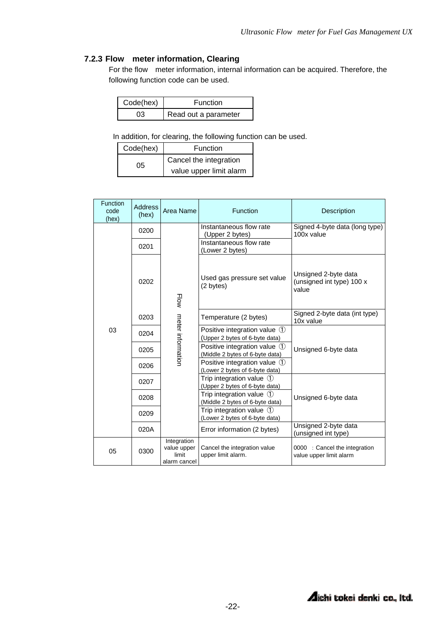### **7.2.3 Flow meter information, Clearing**

For the flow meter information, internal information can be acquired. Therefore, the following function code can be used.

| Code(hex) | Function             |  |
|-----------|----------------------|--|
| าว        | Read out a parameter |  |

In addition, for clearing, the following function can be used.

| Code(hex) | Function                |  |
|-----------|-------------------------|--|
| 05        | Cancel the integration  |  |
|           | value upper limit alarm |  |

| <b>Function</b><br>code<br>(hex) | <b>Address</b><br>(hex) | Area Name                                           | Function                                                                         | Description                                                |  |
|----------------------------------|-------------------------|-----------------------------------------------------|----------------------------------------------------------------------------------|------------------------------------------------------------|--|
|                                  | 0200                    |                                                     | Instantaneous flow rate<br>(Upper 2 bytes)                                       | Signed 4-byte data (long type)<br>100x value               |  |
|                                  | 0201                    |                                                     | Instantaneous flow rate<br>(Lower 2 bytes)                                       |                                                            |  |
| 03                               | 0202                    | Flow                                                | Used gas pressure set value<br>(2 bytes)                                         | Unsigned 2-byte data<br>(unsigned int type) 100 x<br>value |  |
|                                  | 0203                    | meter informatior                                   | Temperature (2 bytes)                                                            | Signed 2-byte data (int type)<br>10x value                 |  |
|                                  | 0204                    |                                                     | Positive integration value $\langle 1 \rangle$<br>(Upper 2 bytes of 6-byte data) |                                                            |  |
|                                  | 0205                    |                                                     | Positive integration value $\mathbb O$<br>(Middle 2 bytes of 6-byte data)        | Unsigned 6-byte data                                       |  |
|                                  | 0206                    |                                                     | Positive integration value ①<br>(Lower 2 bytes of 6-byte data)                   |                                                            |  |
|                                  | 0207                    |                                                     | Trip integration value $\circled{1}$<br>(Upper 2 bytes of 6-byte data)           |                                                            |  |
|                                  | 0208                    |                                                     | Trip integration value $\circled{1}$<br>(Middle 2 bytes of 6-byte data)          | Unsigned 6-byte data                                       |  |
|                                  | 0209                    |                                                     | Trip integration value $\circled{1}$<br>(Lower 2 bytes of 6-byte data)           |                                                            |  |
|                                  | 020A                    |                                                     | Error information (2 bytes)                                                      | Unsigned 2-byte data<br>(unsigned int type)                |  |
| 05                               | 0300                    | Integration<br>value upper<br>limit<br>alarm cancel | Cancel the integration value<br>upper limit alarm.                               | 0000 : Cancel the integration<br>value upper limit alarm   |  |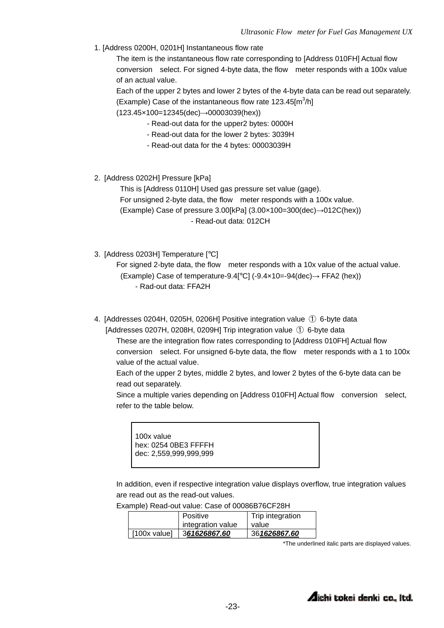1. [Address 0200H, 0201H] Instantaneous flow rate

The item is the instantaneous flow rate corresponding to [Address 010FH] Actual flow conversion select. For signed 4-byte data, the flow meter responds with a 100x value of an actual value.

Each of the upper 2 bytes and lower 2 bytes of the 4-byte data can be read out separately. (Example) Case of the instantaneous flow rate  $123.45$ [m<sup>3</sup>/h] (123.45×100=12345(dec)→00003039(hex))

- Read-out data for the upper2 bytes: 0000H
- Read-out data for the lower 2 bytes: 3039H
- Read-out data for the 4 bytes: 00003039H
- 2. [Address 0202H] Pressure [kPa]

This is [Address 0110H] Used gas pressure set value (gage). For unsigned 2-byte data, the flow meter responds with a 100x value. (Example) Case of pressure 3.00[kPa] (3.00×100=300(dec)→012C(hex)) - Read-out data: 012CH

3. [Address 0203H] Temperature [°C]

For signed 2-byte data, the flow meter responds with a 10x value of the actual value. (Example) Case of temperature-9.4[ $^{\circ}$ C] (-9.4×10=-94(dec)  $\rightarrow$  FFA2 (hex)) - Rad-out data: FFA2H

4. [Addresses 0204H, 0205H, 0206H] Positive integration value ① 6-byte data

[Addresses 0207H, 0208H, 0209H] Trip integration value ① 6-byte data

These are the integration flow rates corresponding to [Address 010FH] Actual flow conversion select. For unsigned 6-byte data, the flow meter responds with a 1 to 100x value of the actual value.

Each of the upper 2 bytes, middle 2 bytes, and lower 2 bytes of the 6-byte data can be read out separately.

Since a multiple varies depending on [Address 010FH] Actual flow conversion select, refer to the table below.

100x value hex: 0254 0BE3 FFFFH dec: 2,559,999,999,999

In addition, even if respective integration value displays overflow, true integration values are read out as the read-out values.

Example) Read-out value: Case of 00086B76CF28H

|              | Positive          | Trip integration |
|--------------|-------------------|------------------|
|              | integration value | value            |
| [100x value] | 361626867.60      | 361626867.60     |

\*The underlined italic parts are displayed values.

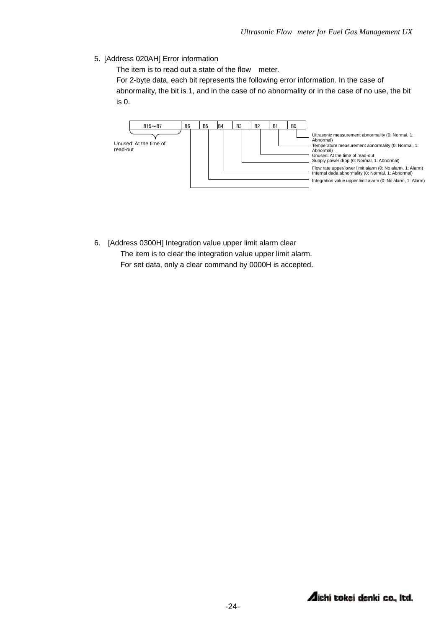5. [Address 020AH] Error information

The item is to read out a state of the flow meter.

For 2-byte data, each bit represents the following error information. In the case of abnormality, the bit is 1, and in the case of no abnormality or in the case of no use, the bit is 0.



6. [Address 0300H] Integration value upper limit alarm clear The item is to clear the integration value upper limit alarm. For set data, only a clear command by 0000H is accepted.

**Aichi tokei denki co., Itd.**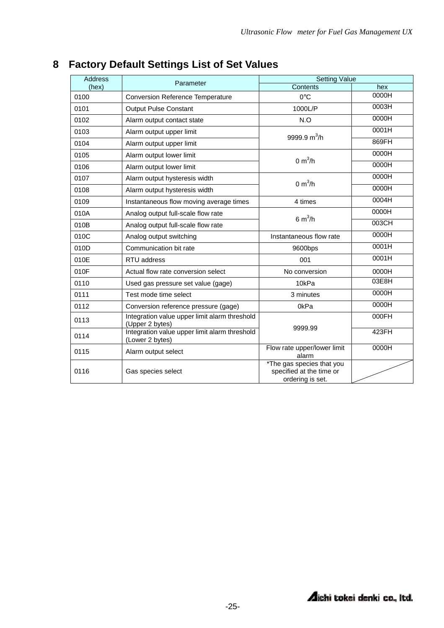| <b>Address</b> | Parameter                                                        | <b>Setting Value</b>                                                      |       |  |
|----------------|------------------------------------------------------------------|---------------------------------------------------------------------------|-------|--|
| (hex)          |                                                                  | Contents                                                                  | hex   |  |
| 0100           | <b>Conversion Reference Temperature</b>                          | $0^{\circ}$ C                                                             | 0000H |  |
| 0101           | <b>Output Pulse Constant</b>                                     | 1000L/P                                                                   | 0003H |  |
| 0102           | Alarm output contact state                                       | N.O                                                                       | 0000H |  |
| 0103           | Alarm output upper limit                                         | 9999.9 $m^3/h$                                                            | 0001H |  |
| 0104           | Alarm output upper limit                                         |                                                                           | 869FH |  |
| 0105           | Alarm output lower limit                                         | $0 \text{ m}^3$ /h                                                        | 0000H |  |
| 0106           | Alarm output lower limit                                         |                                                                           | 0000H |  |
| 0107           | Alarm output hysteresis width                                    | 0 m <sup>3</sup> /h                                                       | 0000H |  |
| 0108           | Alarm output hysteresis width                                    |                                                                           | 0000H |  |
| 0109           | Instantaneous flow moving average times                          | 4 times                                                                   | 0004H |  |
| 010A           | Analog output full-scale flow rate                               | 6 $m^3/h$                                                                 | 0000H |  |
| 010B           | Analog output full-scale flow rate                               |                                                                           | 003CH |  |
| 010C           | Analog output switching                                          | Instantaneous flow rate                                                   | 0000H |  |
| 010D           | Communication bit rate                                           | 9600bps                                                                   | 0001H |  |
| 010E           | RTU address                                                      | 001                                                                       | 0001H |  |
| 010F           | Actual flow rate conversion select                               | No conversion                                                             | 0000H |  |
| 0110           | Used gas pressure set value (gage)                               | 10kPa                                                                     | 03E8H |  |
| 0111           | Test mode time select                                            | 3 minutes                                                                 | 0000H |  |
| 0112           | Conversion reference pressure (gage)                             | 0kPa                                                                      | 0000H |  |
| 0113           | Integration value upper limit alarm threshold<br>(Upper 2 bytes) | 9999.99                                                                   | 000FH |  |
| 0114           | Integration value upper limit alarm threshold<br>(Lower 2 bytes) |                                                                           | 423FH |  |
| 0115           | Alarm output select                                              | Flow rate upper/lower limit<br>alarm                                      | 0000H |  |
| 0116           | Gas species select                                               | *The gas species that you<br>specified at the time or<br>ordering is set. |       |  |

# **8 Factory Default Settings List of Set Values**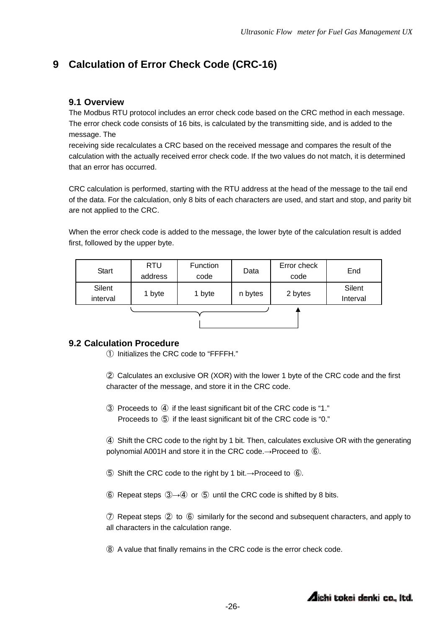## **9 Calculation of Error Check Code (CRC-16)**

### **9.1 Overview**

The Modbus RTU protocol includes an error check code based on the CRC method in each message. The error check code consists of 16 bits, is calculated by the transmitting side, and is added to the message. The

receiving side recalculates a CRC based on the received message and compares the result of the calculation with the actually received error check code. If the two values do not match, it is determined that an error has occurred.

CRC calculation is performed, starting with the RTU address at the head of the message to the tail end of the data. For the calculation, only 8 bits of each characters are used, and start and stop, and parity bit are not applied to the CRC.

When the error check code is added to the message, the lower byte of the calculation result is added first, followed by the upper byte.

| <b>Start</b>       | <b>RTU</b><br>address | <b>Function</b><br>code | Data    | Error check<br>code | End                |
|--------------------|-----------------------|-------------------------|---------|---------------------|--------------------|
| Silent<br>interval | 1 byte                | 1 byte                  | n bytes | 2 bytes             | Silent<br>Interval |
|                    |                       |                         |         |                     |                    |

### **9.2 Calculation Procedure**

① Initializes the CRC code to "FFFFH."

② Calculates an exclusive OR (XOR) with the lower 1 byte of the CRC code and the first character of the message, and store it in the CRC code.

③ Proceeds to ④ if the least significant bit of the CRC code is "1." Proceeds to ⑤ if the least significant bit of the CRC code is "0."

④ Shift the CRC code to the right by 1 bit. Then, calculates exclusive OR with the generating polynomial A001H and store it in the CRC code.→Proceed to **⑥**.

- ⑤ Shift the CRC code to the right by 1 bit.→Proceed to ⑥.
- ⑥ Repeat steps ③→④ or ⑤ until the CRC code is shifted by 8 bits.

⑦ Repeat steps ② to ⑥ similarly for the second and subsequent characters, and apply to all characters in the calculation range.

⑧ A value that finally remains in the CRC code is the error check code.